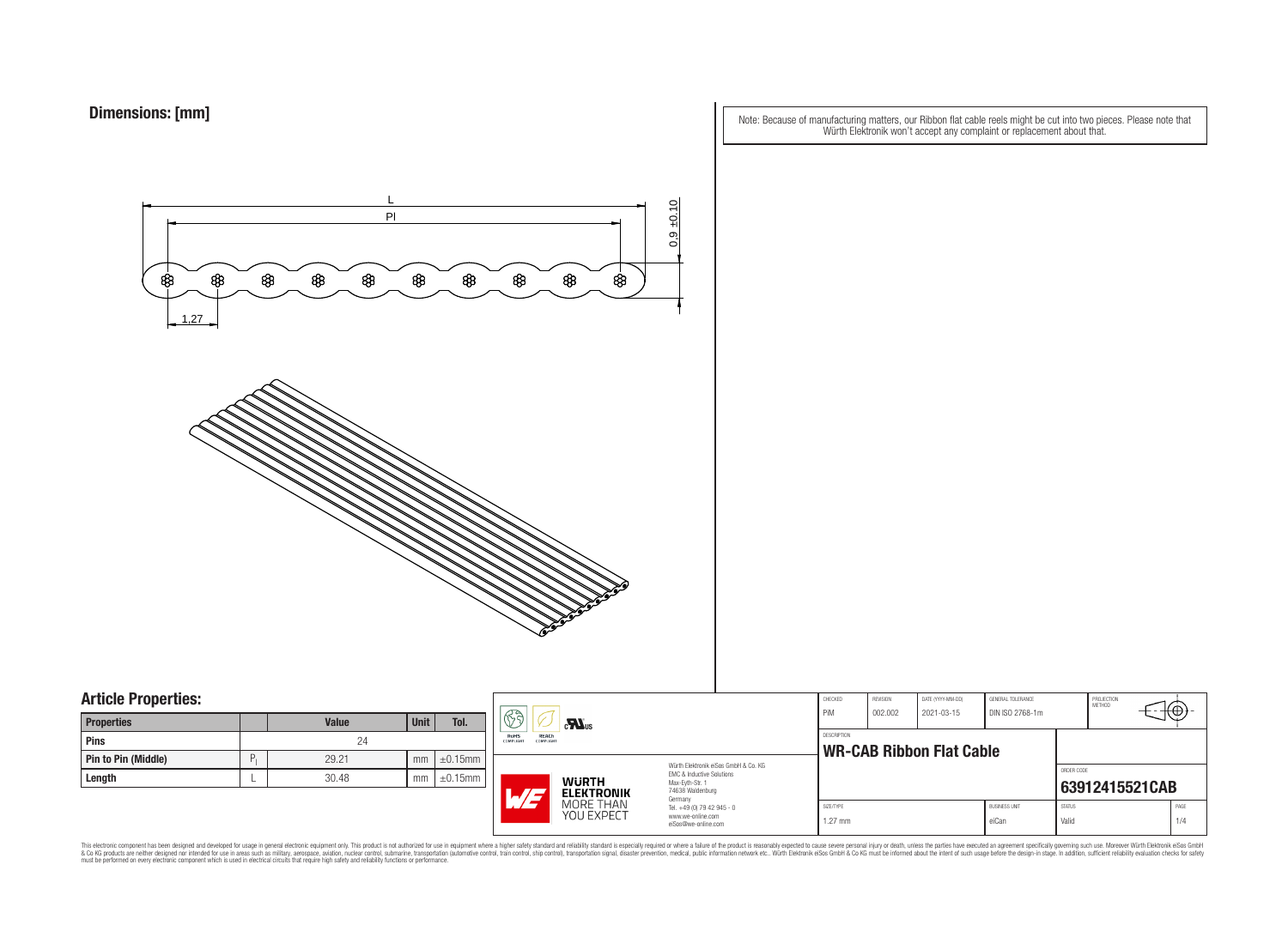Note: Because of manufacturing matters, our Ribbon flat cable reels might be cut into two pieces. Please note that Würth Elektronik won't accept any complaint or replacement about that.



### **Article Properties:**

| <b>Properties</b>          |   | <b>Value</b> | <b>Unit</b> | Tol.          |
|----------------------------|---|--------------|-------------|---------------|
| <b>Pins</b>                |   | 24           |             |               |
| <b>Pin to Pin (Middle)</b> | Ρ | 29.21        | mm          | $\pm 0.15$ mm |
| Length                     |   | 30.48        | mm          | $\pm 0.15$ mm |

|   | F)<br>$c$ <b>N</b> <sub>us</sub>                    |                         | CHECKED<br>REVISION<br>DATE (YYYY-MM-DD)<br><b>GENERAL TOLERANCE</b><br>PiM<br>DIN ISO 2768-1m<br>002.002<br>2021-03-15 |                                       | PROJECTION<br><b>METHOD</b>                    |  |  |                               |                        |  |             |
|---|-----------------------------------------------------|-------------------------|-------------------------------------------------------------------------------------------------------------------------|---------------------------------------|------------------------------------------------|--|--|-------------------------------|------------------------|--|-------------|
| m | RoHS<br>REACh<br>COMPLIANT                          | <b>COMPLIANT</b>        |                                                                                                                         |                                       | DESCRIPTION<br><b>WR-CAB Ribbon Flat Cable</b> |  |  |                               |                        |  |             |
| m | <b>WURTH</b><br><b>ELEKTRONIK</b><br>$\blacksquare$ |                         | Würth Elektronik eiSos GmbH & Co. KG<br>EMC & Inductive Solutions<br>Max-Eyth-Str. 1<br>74638 Waldenburg                |                                       |                                                |  |  | ORDER CODE                    | 63912415521CAB         |  |             |
|   |                                                     | MORE THAN<br>YOU EXPECT | www.we-online.com<br>eiSos@we-online.com                                                                                | Germany<br>Tel. +49 (0) 79 42 945 - 0 | SIZE/TYPE<br>$1.27$ mm                         |  |  | <b>BUSINESS UNIT</b><br>eiCan | <b>STATUS</b><br>Valid |  | PAGE<br>1/4 |

This electronic component has been designed and developed for usage in general electronic equipment only. This product is not authorized for subserved requipment where a higher selection equipment where a higher selection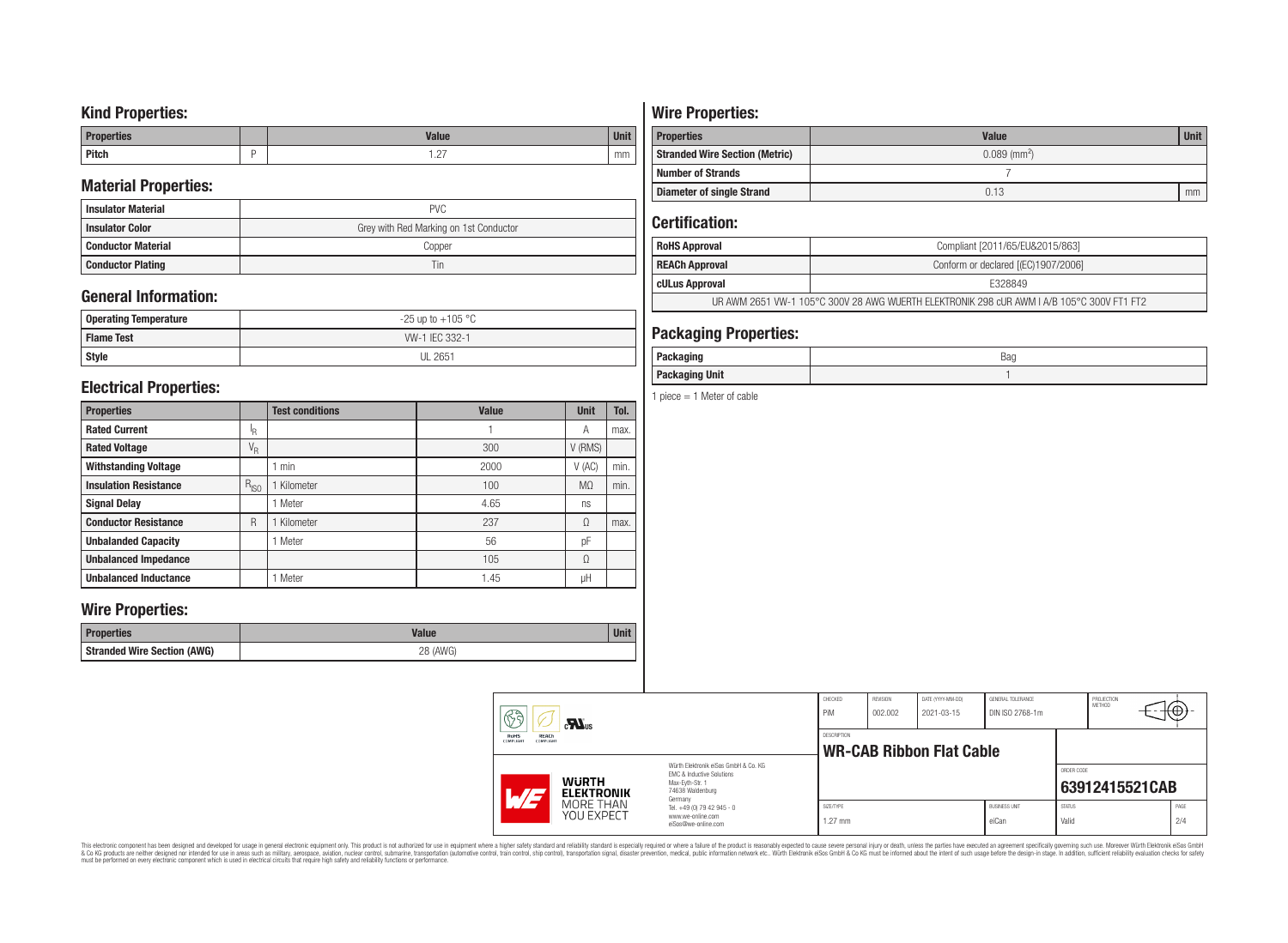## **Kind Properties:**

| <b>Properties</b> | <b>Value</b>                     | $11 - 14$<br>vm |
|-------------------|----------------------------------|-----------------|
| <b>Pitch</b>      | $\sim$<br>$\cdot$ $\sim$ $\cdot$ | mm              |

## **Material Properties:**

| <b>Insulator Material</b> | <b>PVC</b>                             |
|---------------------------|----------------------------------------|
| <b>Insulator Color</b>    | Grey with Red Marking on 1st Conductor |
| <b>Conductor Material</b> | Copper                                 |
| <b>Conductor Plating</b>  | Tin                                    |

## **General Information:**

| Operating Temperature | $-25$ up to $+105$ °C |  |  |  |  |
|-----------------------|-----------------------|--|--|--|--|
| <b>Flame Test</b>     | W-1 IEC 332-1         |  |  |  |  |
| <b>Style</b>          | <b>UL 2651</b>        |  |  |  |  |

## **Electrical Properties:**

| <b>Properties</b>            |                           | <b>Test conditions</b> | <b>Value</b> | <b>Unit</b>    | Tol. |
|------------------------------|---------------------------|------------------------|--------------|----------------|------|
| <b>Rated Current</b>         | ΙŖ.                       |                        |              | Α              | max. |
| <b>Rated Voltage</b>         | $\mathrm{V}_{\mathrm{R}}$ |                        | 300          | V (RMS)        |      |
| <b>Withstanding Voltage</b>  |                           | min                    | 2000         | V(AC)          | min. |
| <b>Insulation Resistance</b> | $R_{ISO}$                 | Kilometer              | 100          | M <sub>0</sub> | min. |
| <b>Signal Delay</b>          |                           | Meter                  | 4.65         | ns             |      |
| <b>Conductor Resistance</b>  | R                         | Kilometer              | 237          | Ω              | max. |
| <b>Unbalanded Capacity</b>   |                           | Meter                  | 56           | pF             |      |
| <b>Unbalanced Impedance</b>  |                           |                        | 105          | Ω              |      |
| <b>Unbalanced Inductance</b> |                           | Meter                  | 1.45         | μH             |      |

## **Wire Properties:**

| Properties                         | <b>Valut</b>   | Unit |
|------------------------------------|----------------|------|
| <b>Stranded Wire Section (AWG)</b> | 28 (AWG)<br>∠∪ |      |

# **Wire Properties:**

| <b>Properties</b>                     | <b>Value</b>               | <b>Unit</b> |
|---------------------------------------|----------------------------|-------------|
| <b>Stranded Wire Section (Metric)</b> | $0.089$ (mm <sup>2</sup> ) |             |
| <b>Number of Strands</b>              |                            |             |
| <b>Diameter of single Strand</b>      | 0.13                       | mm          |

## **Certification:**

| <b>RoHS Approval</b>                                                                      | Compliant [2011/65/EU&2015/863]     |  |  |  |
|-------------------------------------------------------------------------------------------|-------------------------------------|--|--|--|
| <b>REACh Approval</b>                                                                     | Conform or declared [(EC)1907/2006] |  |  |  |
| cULus Approval                                                                            | E328849                             |  |  |  |
| UR AWM 2651 VW-1 105°C 300V 28 AWG WUERTH ELEKTRONIK 298 cUR AWM I A/B 105°C 300V FT1 FT2 |                                     |  |  |  |

## **Packaging Properties:**

| <i>n</i> anina<br>rackayıny | Bag |
|-----------------------------|-----|
| <b>Packaging Unit</b>       |     |

1 piece  $= 1$  Meter of cable

| 63                                      | $c$ <b>N</b> <sub>us</sub>        |                                                                                                                     | CHECKED<br>PiM         | REVISION<br>002.002 | DATE (YYYY-MM-DD)<br>2021-03-15 | GENERAL TOLERANCE<br>DIN ISO 2768-1m |                        | PROJECTION<br>METHOD | ₩Φ∶         |
|-----------------------------------------|-----------------------------------|---------------------------------------------------------------------------------------------------------------------|------------------------|---------------------|---------------------------------|--------------------------------------|------------------------|----------------------|-------------|
| REACh<br>RoHS<br>COMPLIANT<br>COMPLIANT |                                   | DESCRIPTION<br><b>WR-CAB Ribbon Flat Cable</b>                                                                      |                        |                     |                                 |                                      |                        |                      |             |
| $\overline{M}$                          | <b>WURTH</b><br><b>ELEKTRONIK</b> | Würth Elektronik eiSos GmbH & Co. KG<br>EMC & Inductive Solutions<br>Max-Evth-Str. 1<br>74638 Waldenburg<br>Germany |                        |                     |                                 |                                      | ORDER CODE             | 63912415521CAB       |             |
|                                         | MORE THAN<br>YOU EXPECT           | Tel. +49 (0) 79 42 945 - 0<br>www.we-online.com<br>eiSos@we-online.com                                              | SIZE/TYPE<br>$1.27$ mm |                     |                                 | <b>BUSINESS UNIT</b><br>eiCan        | <b>STATUS</b><br>Valid |                      | PAGE<br>2/4 |

This electronic component has been designed and developed for usage in general electronic equipment only. This product is not authorized for subserved requipment where a higher selection equipment where a higher selection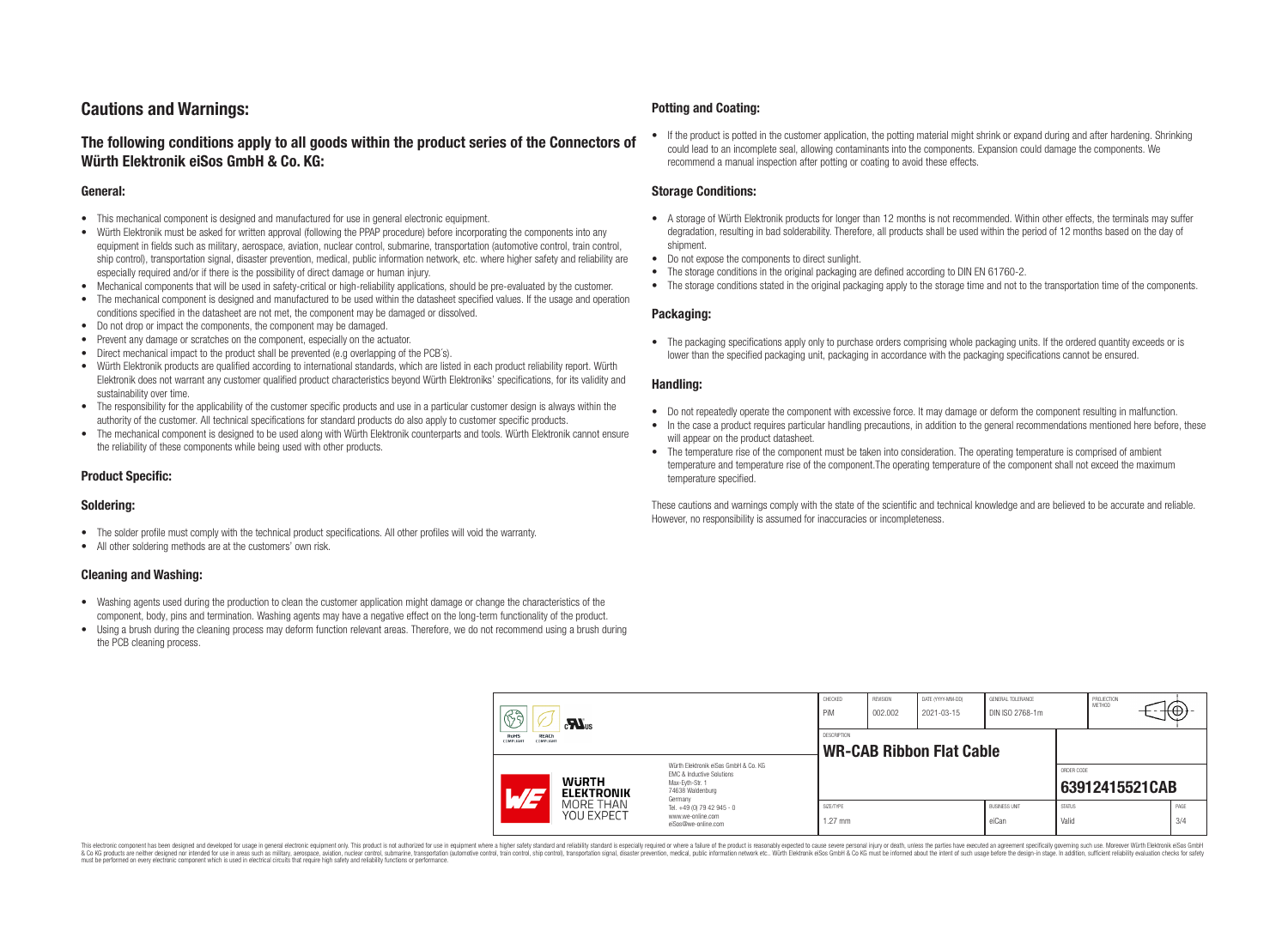## **Cautions and Warnings:**

### **The following conditions apply to all goods within the product series of the Connectors of Würth Elektronik eiSos GmbH & Co. KG:**

#### **General:**

- This mechanical component is designed and manufactured for use in general electronic equipment.
- Würth Elektronik must be asked for written approval (following the PPAP procedure) before incorporating the components into any equipment in fields such as military, aerospace, aviation, nuclear control, submarine, transportation (automotive control, train control, ship control), transportation signal, disaster prevention, medical, public information network, etc. where higher safety and reliability are especially required and/or if there is the possibility of direct damage or human injury.
- Mechanical components that will be used in safety-critical or high-reliability applications, should be pre-evaluated by the customer.
- The mechanical component is designed and manufactured to be used within the datasheet specified values. If the usage and operation conditions specified in the datasheet are not met, the component may be damaged or dissolved.
- Do not drop or impact the components, the component may be damaged.
- Prevent any damage or scratches on the component, especially on the actuator.
- Direct mechanical impact to the product shall be prevented (e.g overlapping of the PCB's).
- Würth Elektronik products are qualified according to international standards, which are listed in each product reliability report. Würth Elektronik does not warrant any customer qualified product characteristics beyond Würth Elektroniks' specifications, for its validity and sustainability over time.
- The responsibility for the applicability of the customer specific products and use in a particular customer design is always within the authority of the customer. All technical specifications for standard products do also apply to customer specific products.
- The mechanical component is designed to be used along with Würth Elektronik counterparts and tools. Würth Elektronik cannot ensure the reliability of these components while being used with other products.

#### **Product Specific:**

#### **Soldering:**

- The solder profile must comply with the technical product specifications. All other profiles will void the warranty.
- All other soldering methods are at the customers' own risk.

#### **Cleaning and Washing:**

- Washing agents used during the production to clean the customer application might damage or change the characteristics of the component, body, pins and termination. Washing agents may have a negative effect on the long-term functionality of the product.
- Using a brush during the cleaning process may deform function relevant areas. Therefore, we do not recommend using a brush during the PCB cleaning process.

#### **Potting and Coating:**

• If the product is potted in the customer application, the potting material might shrink or expand during and after hardening. Shrinking could lead to an incomplete seal, allowing contaminants into the components. Expansion could damage the components. We recommend a manual inspection after potting or coating to avoid these effects.

#### **Storage Conditions:**

- A storage of Würth Elektronik products for longer than 12 months is not recommended. Within other effects, the terminals may suffer degradation, resulting in bad solderability. Therefore, all products shall be used within the period of 12 months based on the day of shipment.
- Do not expose the components to direct sunlight.
- The storage conditions in the original packaging are defined according to DIN EN 61760-2.
- The storage conditions stated in the original packaging apply to the storage time and not to the transportation time of the components.

#### **Packaging:**

• The packaging specifications apply only to purchase orders comprising whole packaging units. If the ordered quantity exceeds or is lower than the specified packaging unit, packaging in accordance with the packaging specifications cannot be ensured.

#### **Handling:**

- Do not repeatedly operate the component with excessive force. It may damage or deform the component resulting in malfunction.
- In the case a product requires particular handling precautions, in addition to the general recommendations mentioned here before, these will appear on the product datasheet
- The temperature rise of the component must be taken into consideration. The operating temperature is comprised of ambient temperature and temperature rise of the component.The operating temperature of the component shall not exceed the maximum temperature specified.

These cautions and warnings comply with the state of the scientific and technical knowledge and are believed to be accurate and reliable. However, no responsibility is assumed for inaccuracies or incompleteness.

| 63<br>$\mathbf{M}_{\text{us}}$<br><b>RoHS</b><br><b>REACh</b><br><b>COMPLIANT</b><br>COMPLIANT |                                                                        | CHECKED<br>PiM                                                                                                      | <b>REVISION</b><br>002.002 | DATE (YYYY-MM-DD)<br>2021-03-15 | GENERAL TOLERANCE<br>DIN ISO 2768-1m |                        | PROJECTION<br><b>METHOD</b> | €⊕∶            |  |
|------------------------------------------------------------------------------------------------|------------------------------------------------------------------------|---------------------------------------------------------------------------------------------------------------------|----------------------------|---------------------------------|--------------------------------------|------------------------|-----------------------------|----------------|--|
|                                                                                                |                                                                        | <b>DESCRIPTION</b><br><b>WR-CAB Ribbon Flat Cable</b>                                                               |                            |                                 |                                      |                        |                             |                |  |
| AT                                                                                             | <b>WURTH</b><br><b>ELEKTRONIK</b>                                      | Würth Flektronik eiSos GmbH & Co. KG<br>EMC & Inductive Solutions<br>Max-Evth-Str. 1<br>74638 Waldenburg<br>Germany |                            |                                 |                                      |                        | ORDER CODE                  | 63912415521CAB |  |
| MORE THAN<br><b>YOU EXPECT</b>                                                                 | Tel. +49 (0) 79 42 945 - 0<br>www.we-online.com<br>eiSos@we-online.com | SIZE/TYPE<br>$1.27$ mm                                                                                              |                            |                                 | <b>BUSINESS UNIT</b><br>eiCan        | <b>STATUS</b><br>Valid |                             | PAGE<br>3/4    |  |

This electronic component has been designed and developed for usage in general electronic equipment only. This product is not authorized for use in equipment where a higher safety standard and reliability standard si espec & Ook product a label and the membed of the seasuch as marked and as which such a membed and the such assume that income in the seasuch and the simulation and the such assume that include to the such a membed and the such